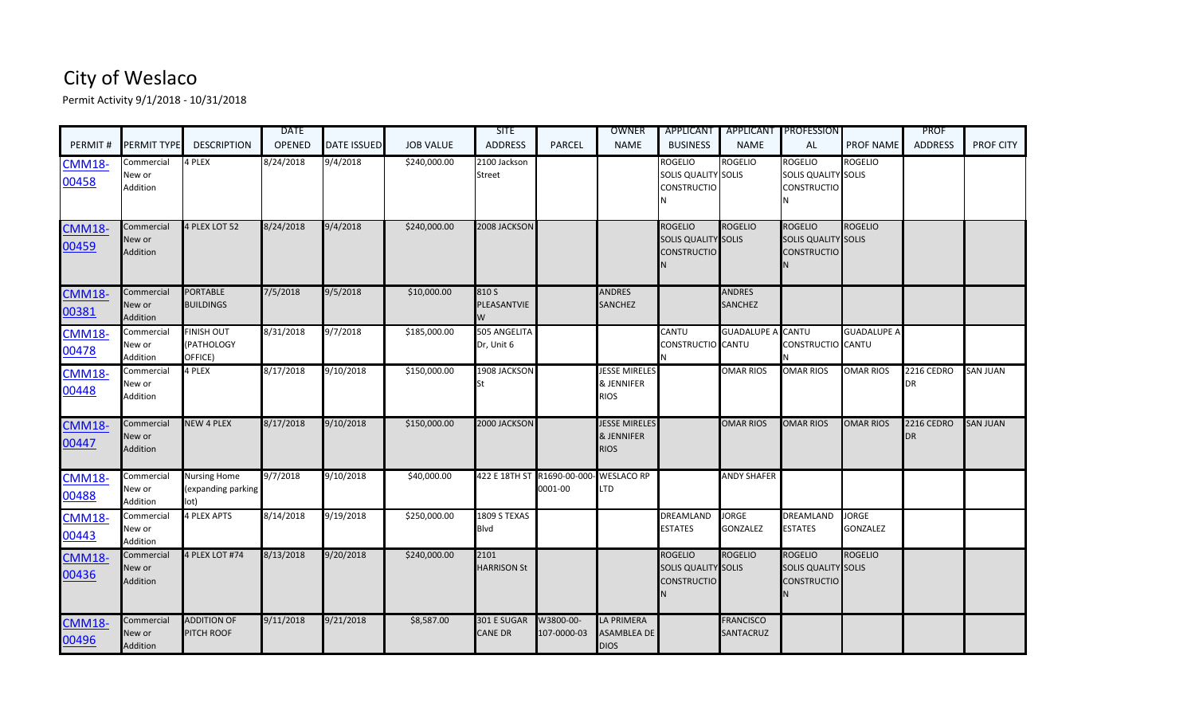## City of Weslaco

Permit Activity 9/1/2018 - 10/31/2018

| PERMIT#                | PERMIT TYPE                      | <b>DESCRIPTION</b>                                | <b>DATE</b><br><b>OPENED</b> | <b>DATE ISSUED</b> | <b>JOB VALUE</b> | <b>SITE</b><br><b>ADDRESS</b> | <b>PARCEL</b>                                     | OWNER<br><b>NAME</b>                                         | <b>APPLICANT</b><br><b>BUSINESS</b>                                | <b>NAME</b>                     | <b>APPLICANT PROFESSION</b><br><b>AL</b>                           | <b>PROF NAME</b>                | <b>PROF</b><br><b>ADDRESS</b> | <b>PROF CITY</b> |
|------------------------|----------------------------------|---------------------------------------------------|------------------------------|--------------------|------------------|-------------------------------|---------------------------------------------------|--------------------------------------------------------------|--------------------------------------------------------------------|---------------------------------|--------------------------------------------------------------------|---------------------------------|-------------------------------|------------------|
| <b>CMM18-</b><br>00458 | Commercial<br>New or<br>Addition | 4 PLEX                                            | 8/24/2018                    | 9/4/2018           | \$240,000.00     | 2100 Jackson<br><b>Street</b> |                                                   |                                                              | <b>ROGELIO</b><br>SOLIS QUALITY SOLIS<br><b>CONSTRUCTIO</b>        | <b>ROGELIO</b>                  | <b>ROGELIO</b><br>SOLIS QUALITY SOLIS<br><b>CONSTRUCTIO</b>        | <b>ROGELIO</b>                  |                               |                  |
| <b>CMM18-</b><br>00459 | Commercial<br>New or<br>Addition | 4 PLEX LOT 52                                     | 8/24/2018                    | 9/4/2018           | \$240,000.00     | 2008 JACKSON                  |                                                   |                                                              | ROGELIO<br><b>SOLIS QUALITY SOLIS</b><br><b>CONSTRUCTIO</b>        | <b>ROGELIO</b>                  | <b>ROGELIO</b><br><b>SOLIS QUALITY SOLIS</b><br><b>CONSTRUCTIO</b> | <b>ROGELIO</b>                  |                               |                  |
| <b>CMM18-</b><br>00381 | Commercial<br>New or<br>Addition | <b>PORTABLE</b><br><b>BUILDINGS</b>               | 7/5/2018                     | 9/5/2018           | \$10,000.00      | 810 S<br>PLEASANTVIE<br>W     |                                                   | <b>ANDRES</b><br><b>SANCHEZ</b>                              |                                                                    | <b>ANDRES</b><br><b>SANCHEZ</b> |                                                                    |                                 |                               |                  |
| <b>CMM18-</b><br>00478 | Commercial<br>New or<br>Addition | <b>FINISH OUT</b><br>PATHOLOGY<br>OFFICE)         | 8/31/2018                    | 9/7/2018           | \$185,000.00     | 505 ANGELITA<br>Dr, Unit 6    |                                                   |                                                              | <b>CANTU</b><br>CONSTRUCTIO CANTU                                  | <b>GUADALUPE A CANTU</b>        | CONSTRUCTIO CANTU                                                  | <b>GUADALUPE A</b>              |                               |                  |
| <b>CMM18-</b><br>00448 | Commercial<br>New or<br>Addition | 4 PLEX                                            | 8/17/2018                    | 9/10/2018          | \$150,000.00     | 1908 JACKSON                  |                                                   | <b>JESSE MIRELES</b><br>& JENNIFER<br><b>RIOS</b>            |                                                                    | <b>OMAR RIOS</b>                | <b>OMAR RIOS</b>                                                   | <b>OMAR RIOS</b>                | 2216 CEDRO<br><b>DR</b>       | <b>SAN JUAN</b>  |
| <b>CMM18-</b><br>00447 | Commercial<br>New or<br>Addition | <b>NEW 4 PLEX</b>                                 | 8/17/2018                    | 9/10/2018          | \$150,000.00     | 2000 JACKSON                  |                                                   | <b>JESSE MIRELES</b><br><b>&amp; JENNIFER</b><br><b>RIOS</b> |                                                                    | <b>OMAR RIOS</b>                | <b>OMAR RIOS</b>                                                   | <b>OMAR RIOS</b>                | 2216 CEDRO<br><b>DR</b>       | <b>SAN JUAN</b>  |
| <b>CMM18-</b><br>00488 | Commercial<br>New or<br>Addition | <b>Nursing Home</b><br>(expanding parking<br>lot) | 9/7/2018                     | 9/10/2018          | \$40,000.00      |                               | 422 E 18TH ST R1690-00-000- WESLACO RP<br>0001-00 | <b>LTD</b>                                                   |                                                                    | <b>ANDY SHAFER</b>              |                                                                    |                                 |                               |                  |
| <b>CMM18-</b><br>00443 | Commercial<br>New or<br>Addition | <b>4 PLEX APTS</b>                                | 8/14/2018                    | 9/19/2018          | \$250,000.00     | 1809 S TEXAS<br>Blvd          |                                                   |                                                              | <b>DREAMLAND</b><br><b>ESTATES</b>                                 | <b>JORGE</b><br><b>GONZALEZ</b> | <b>DREAMLAND</b><br><b>ESTATES</b>                                 | <b>JORGE</b><br><b>GONZALEZ</b> |                               |                  |
| <b>CMM18-</b><br>00436 | Commercial<br>New or<br>Addition | 4 PLEX LOT #74                                    | 8/13/2018                    | 9/20/2018          | \$240,000.00     | 2101<br><b>HARRISON St</b>    |                                                   |                                                              | <b>ROGELIO</b><br><b>SOLIS QUALITY SOLIS</b><br><b>CONSTRUCTIO</b> | <b>ROGELIO</b>                  | <b>ROGELIO</b><br>SOLIS QUALITY SOLIS<br><b>CONSTRUCTIO</b>        | <b>ROGELIO</b>                  |                               |                  |
| <b>CMM18-</b><br>00496 | Commercial<br>New or<br>Addition | <b>ADDITION OF</b><br>PITCH ROOF                  | 9/11/2018                    | 9/21/2018          | \$8,587.00       | 301 E SUGAR<br>CANE DR        | W3800-00-<br>107-0000-03                          | <b>LA PRIMERA</b><br><b>ASAMBLEA DE</b><br><b>DIOS</b>       |                                                                    | <b>FRANCISCO</b><br>SANTACRUZ   |                                                                    |                                 |                               |                  |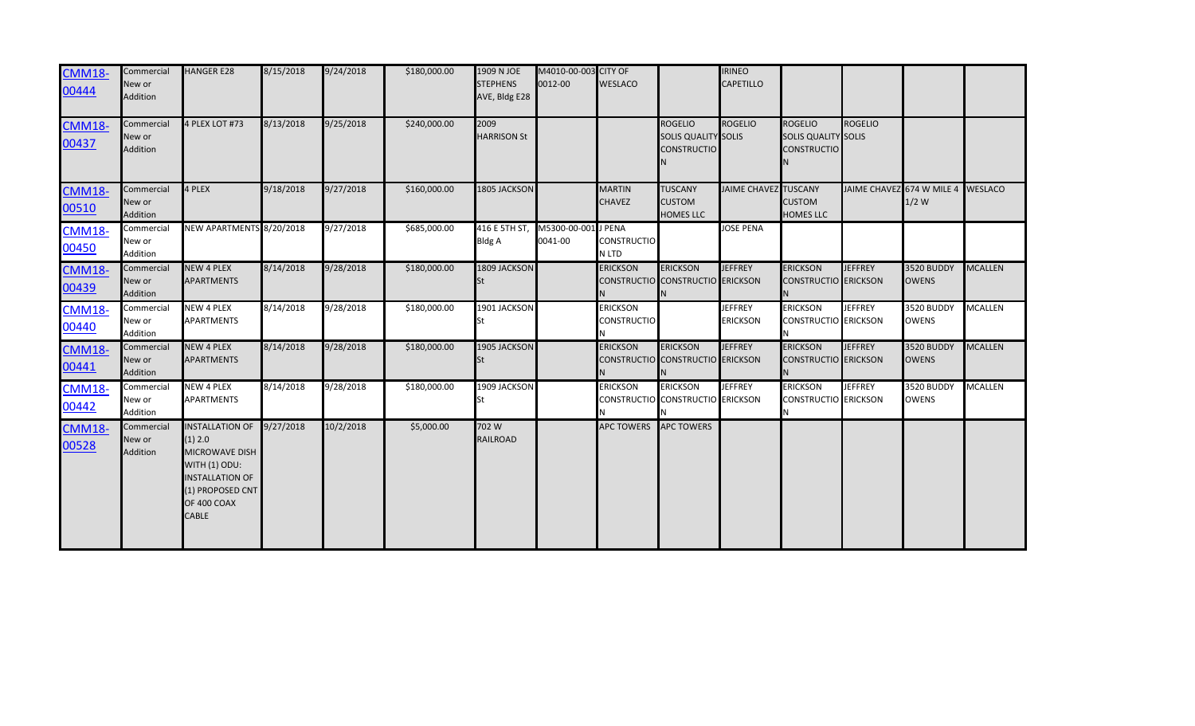| <b>CMM18-</b><br>00444 | Commercial<br>New or<br>Addition | <b>HANGER E28</b>                                                                                                                                               | 8/15/2018 | 9/24/2018 | \$180,000.00 | 1909 N JOE<br><b>STEPHENS</b><br>AVE, Bldg E28 | M4010-00-003 CITY OF<br>0012-00 | <b>WESLACO</b>                        |                                                                    | <b>IRINEO</b><br><b>CAPETILLO</b> |                                                                    |                                   |                            |                |
|------------------------|----------------------------------|-----------------------------------------------------------------------------------------------------------------------------------------------------------------|-----------|-----------|--------------|------------------------------------------------|---------------------------------|---------------------------------------|--------------------------------------------------------------------|-----------------------------------|--------------------------------------------------------------------|-----------------------------------|----------------------------|----------------|
| <b>CMM18-</b><br>00437 | Commercial<br>New or<br>Addition | 4 PLEX LOT #73                                                                                                                                                  | 8/13/2018 | 9/25/2018 | \$240,000.00 | 2009<br><b>HARRISON St</b>                     |                                 |                                       | <b>ROGELIO</b><br><b>SOLIS QUALITY SOLIS</b><br><b>CONSTRUCTIO</b> | <b>ROGELIO</b>                    | <b>ROGELIO</b><br><b>SOLIS QUALITY SOLIS</b><br><b>CONSTRUCTIO</b> | <b>ROGELIO</b>                    |                            |                |
| <b>CMM18-</b><br>00510 | Commercial<br>New or<br>Addition | 4 PLEX                                                                                                                                                          | 9/18/2018 | 9/27/2018 | \$160,000.00 | 1805 JACKSON                                   |                                 | <b>MARTIN</b><br><b>CHAVEZ</b>        | <b>TUSCANY</b><br><b>CUSTOM</b><br><b>HOMES LLC</b>                | <b>JAIME CHAVEZ TUSCANY</b>       | <b>CUSTOM</b><br><b>HOMES LLC</b>                                  | JAIME CHAVEZ 674 W MILE 4 WESLACO | $1/2$ W                    |                |
| <b>CMM18-</b><br>00450 | Commercial<br>New or<br>Addition | NEW APARTMENTS 8/20/2018                                                                                                                                        |           | 9/27/2018 | \$685,000.00 | 416 E 5TH ST<br>Bldg A                         | M5300-00-001 J PENA<br>0041-00  | <b>CONSTRUCTIO</b><br>N LTD           |                                                                    | <b>JOSE PENA</b>                  |                                                                    |                                   |                            |                |
| <b>CMM18-</b><br>00439 | Commercial<br>New or<br>Addition | <b>NEW 4 PLEX</b><br><b>APARTMENTS</b>                                                                                                                          | 8/14/2018 | 9/28/2018 | \$180,000.00 | 1809 JACKSON                                   |                                 | <b>ERICKSON</b>                       | <b>ERICKSON</b><br>CONSTRUCTIO CONSTRUCTIO ERICKSON                | <b>JEFFREY</b>                    | <b>ERICKSON</b><br><b>CONSTRUCTIO ERICKSON</b>                     | <b>JEFFREY</b>                    | 3520 BUDDY<br><b>OWENS</b> | <b>MCALLEN</b> |
| <b>CMM18-</b><br>00440 | Commercial<br>New or<br>Addition | <b>NEW 4 PLEX</b><br><b>APARTMENTS</b>                                                                                                                          | 8/14/2018 | 9/28/2018 | \$180,000.00 | 1901 JACKSON                                   |                                 | <b>ERICKSON</b><br><b>CONSTRUCTIO</b> |                                                                    | <b>JEFFREY</b><br><b>ERICKSON</b> | <b>ERICKSON</b><br><b>CONSTRUCTIO</b> ERICKSON                     | <b>JEFFREY</b>                    | 3520 BUDDY<br><b>OWENS</b> | <b>MCALLEN</b> |
| <b>CMM18-</b><br>00441 | Commercial<br>New or<br>Addition | <b>NEW 4 PLEX</b><br><b>APARTMENTS</b>                                                                                                                          | 8/14/2018 | 9/28/2018 | \$180,000.00 | 1905 JACKSON                                   |                                 | <b>ERICKSON</b>                       | <b>ERICKSON</b><br>CONSTRUCTIO CONSTRUCTIO ERICKSON                | <b>JEFFREY</b>                    | <b>ERICKSON</b><br><b>CONSTRUCTIO</b> ERICKSON                     | <b>JEFFREY</b>                    | 3520 BUDDY<br><b>OWENS</b> | <b>MCALLEN</b> |
| <b>CMM18-</b><br>00442 | Commercial<br>New or<br>Addition | <b>NEW 4 PLEX</b><br><b>APARTMENTS</b>                                                                                                                          | 8/14/2018 | 9/28/2018 | \$180,000.00 | 1909 JACKSON                                   |                                 | <b>ERICKSON</b>                       | <b>ERICKSON</b><br>CONSTRUCTIO CONSTRUCTIO ERICKSON                | <b>JEFFREY</b>                    | <b>ERICKSON</b><br><b>CONSTRUCTIO ERICKSON</b><br>IN.              | <b>JEFFREY</b>                    | 3520 BUDDY<br><b>OWENS</b> | <b>MCALLEN</b> |
| <b>CMM18-</b><br>00528 | Commercial<br>New or<br>Addition | <b>INSTALLATION OF</b><br>(1) 2.0<br><b>MICROWAVE DISH</b><br><b>WITH (1) ODU:</b><br><b>INSTALLATION OF</b><br>(1) PROPOSED CNT<br>OF 400 COAX<br><b>CABLE</b> | 9/27/2018 | 10/2/2018 | \$5,000.00   | 702 W<br><b>RAILROAD</b>                       |                                 | APC TOWERS APC TOWERS                 |                                                                    |                                   |                                                                    |                                   |                            |                |